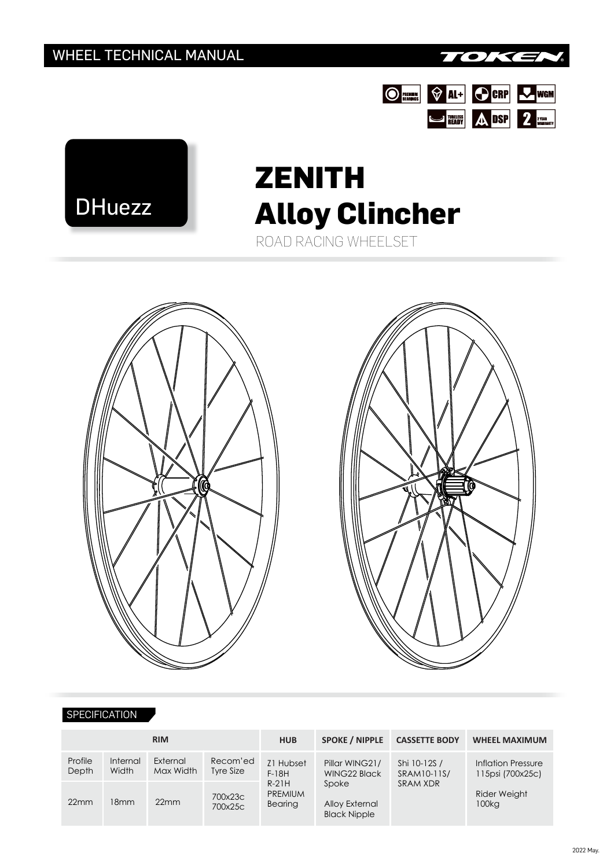





# ROAD RACING WHEELSET **ZENITH Alloy Clincher**





#### **SPECIFICATION**

| <b>RIM</b>       |                   |                       |                       | <b>HUB</b>                                                   | <b>SPOKE / NIPPLE</b>                                                            | <b>CASSETTE BODY</b>                    | <b>WHEEL MAXIMUM</b>                          |
|------------------|-------------------|-----------------------|-----------------------|--------------------------------------------------------------|----------------------------------------------------------------------------------|-----------------------------------------|-----------------------------------------------|
| Profile<br>Depth | Internal<br>Width | External<br>Max Width | Recom'ed<br>Tyre Size | Z1 Hubset<br>$F-18H$<br>$R-21H$<br><b>PREMIUM</b><br>Bearing | Pillar WING21/<br>WING22 Black<br>Spoke<br>Alloy External<br><b>Black Nipple</b> | Shi 10-12S /<br>SRAM10-11S/<br>SRAM XDR | <b>Inflation Pressure</b><br>115psi (700x25c) |
| 22mm             | 18mm              | 22mm                  | 700x23c<br>700x25c    |                                                              |                                                                                  |                                         | Rider Weight<br>100kg                         |